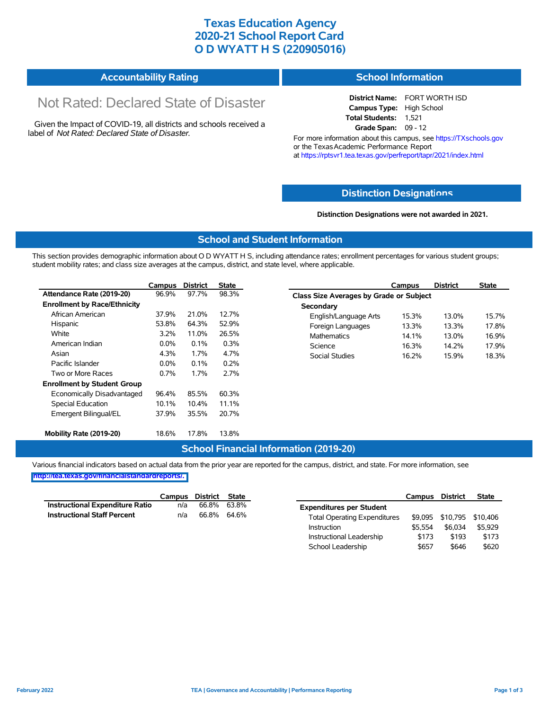### **Texas Education Agency 2020-21 School Report Card O D WYATT H S (220905016)**

# **Accountability Rating**

# Not Rated: Declared State of Disaster

Given the Impact of COVID-19, all districts and schools received a label of *Not Rated: Declared State of Disaster.*

### **School Information**

**District Name:** FORT WORTH ISD **Campus Type:** High School **Total Students:** 1,521 **Grade Span:** 09 - 12

For more information about this campus, see https://TXschools.gov or the Texas Academic Performance Report at https://rptsvr1.tea.texas.gov/perfreport/tapr/2021/index.html

#### **Distinction Designat[ions](https://TXschools.gov)**

**Distinction Designations were not awarded in 2021.**

School Leadership  $$657$  \$646 \$620

#### **School and Student Information**

This section provides demographic information about O D WYATT H S, including attendance rates; enrollment percentages for various student groups; student mobility rates; and class size averages at the campus, district, and state level, where applicable.

|                                     | Campus  | <b>District</b> | <b>State</b> | <b>District</b><br><b>State</b><br>Campus        |
|-------------------------------------|---------|-----------------|--------------|--------------------------------------------------|
| Attendance Rate (2019-20)           | 96.9%   | 97.7%           | 98.3%        | Class Size Averages by Grade or Subject          |
| <b>Enrollment by Race/Ethnicity</b> |         |                 |              | Secondary                                        |
| African American                    | 37.9%   | 21.0%           | 12.7%        | English/Language Arts<br>15.3%<br>13.0%<br>15.7% |
| Hispanic                            | 53.8%   | 64.3%           | 52.9%        | 13.3%<br>17.8%<br>Foreign Languages<br>13.3%     |
| White                               | 3.2%    | 11.0%           | 26.5%        | <b>Mathematics</b><br>14.1%<br>13.0%<br>16.9%    |
| American Indian                     | $0.0\%$ | 0.1%            | 0.3%         | Science<br>16.3%<br>17.9%<br>14.2%               |
| Asian                               | 4.3%    | 1.7%            | 4.7%         | <b>Social Studies</b><br>16.2%<br>15.9%<br>18.3% |
| Pacific Islander                    | $0.0\%$ | 0.1%            | 0.2%         |                                                  |
| Two or More Races                   | 0.7%    | 1.7%            | 2.7%         |                                                  |
| <b>Enrollment by Student Group</b>  |         |                 |              |                                                  |
| Economically Disadvantaged          | 96.4%   | 85.5%           | 60.3%        |                                                  |
| Special Education                   | 10.1%   | 10.4%           | 11.1%        |                                                  |
| Emergent Bilingual/EL               | 37.9%   | 35.5%           | 20.7%        |                                                  |
| Mobility Rate (2019-20)             | 18.6%   | 17.8%           | 13.8%        |                                                  |

#### **School Financial Information (2019-20)**

Various financial indicators based on actual data from the prior year are reported for the campus, district, and state. For more information, see

**[http://tea.texas.gov/financialstandardreports/.](http://tea.texas.gov/financialstandardreports/)**

|                                        | Campus | District | <b>State</b> |                                     | Campus  | <b>District</b>           | <b>State</b> |
|----------------------------------------|--------|----------|--------------|-------------------------------------|---------|---------------------------|--------------|
| <b>Instructional Expenditure Ratio</b> | n/a    | 66.8%    | 63.8%        | <b>Expenditures per Student</b>     |         |                           |              |
| <b>Instructional Staff Percent</b>     | n/a    | 66.8%    | 64.6%        | <b>Total Operating Expenditures</b> |         | \$9,095 \$10,795 \$10,406 |              |
|                                        |        |          |              | Instruction                         | \$5.554 | \$6.034                   | \$5,929      |
|                                        |        |          |              | Instructional Leadership            | \$173   | \$193                     | \$173        |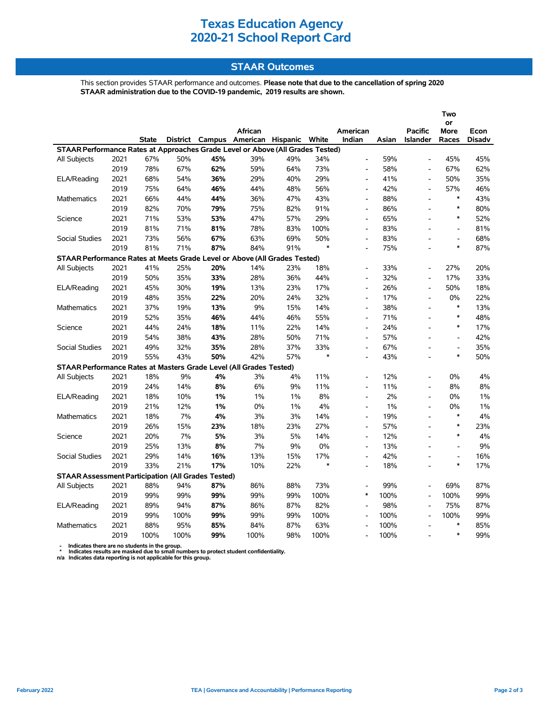## **Texas Education Agency 2020-21 School Report Card**

### **STAAR Outcomes**

This section provides STAAR performance and outcomes. **Please note that due to the cancellation of spring 2020 STAAR administration due to the COVID-19 pandemic, 2019 results are shown.**

|                                                                                |      |              |      |     |                                         |       |        |                          |       |                              | Two                      |               |
|--------------------------------------------------------------------------------|------|--------------|------|-----|-----------------------------------------|-------|--------|--------------------------|-------|------------------------------|--------------------------|---------------|
|                                                                                |      |              |      |     | African                                 |       |        | American                 |       | <b>Pacific</b>               | or<br><b>More</b>        | Econ          |
|                                                                                |      | <b>State</b> |      |     | District Campus American Hispanic White |       |        | Indian                   | Asian | <b>Islander</b>              | Races                    | <b>Disadv</b> |
| STAAR Performance Rates at Approaches Grade Level or Above (All Grades Tested) |      |              |      |     |                                         |       |        |                          |       |                              |                          |               |
| All Subjects                                                                   | 2021 | 67%          | 50%  | 45% | 39%                                     | 49%   | 34%    | $\overline{\phantom{a}}$ | 59%   | $\overline{a}$               | 45%                      | 45%           |
|                                                                                | 2019 | 78%          | 67%  | 62% | 59%                                     | 64%   | 73%    | $\overline{\phantom{a}}$ | 58%   | L,                           | 67%                      | 62%           |
| ELA/Reading                                                                    | 2021 | 68%          | 54%  | 36% | 29%                                     | 40%   | 29%    | $\overline{\phantom{a}}$ | 41%   | $\qquad \qquad \blacksquare$ | 50%                      | 35%           |
|                                                                                | 2019 | 75%          | 64%  | 46% | 44%                                     | 48%   | 56%    |                          | 42%   | $\overline{a}$               | 57%                      | 46%           |
| <b>Mathematics</b>                                                             | 2021 | 66%          | 44%  | 44% | 36%                                     | 47%   | 43%    | $\overline{a}$           | 88%   | $\overline{\phantom{a}}$     | $\ast$                   | 43%           |
|                                                                                | 2019 | 82%          | 70%  | 79% | 75%                                     | 82%   | 91%    | $\overline{\phantom{a}}$ | 86%   | $\overline{\phantom{a}}$     | $\ast$                   | 80%           |
| Science                                                                        | 2021 | 71%          | 53%  | 53% | 47%                                     | 57%   | 29%    | $\overline{a}$           | 65%   |                              | $\ast$                   | 52%           |
|                                                                                | 2019 | 81%          | 71%  | 81% | 78%                                     | 83%   | 100%   | $\overline{a}$           | 83%   |                              | $\overline{a}$           | 81%           |
| <b>Social Studies</b>                                                          | 2021 | 73%          | 56%  | 67% | 63%                                     | 69%   | 50%    | $\overline{a}$           | 83%   |                              | $\overline{a}$           | 68%           |
|                                                                                | 2019 | 81%          | 71%  | 87% | 84%                                     | 91%   | $\ast$ | $\overline{\phantom{a}}$ | 75%   |                              | $\ast$                   | 87%           |
| STAAR Performance Rates at Meets Grade Level or Above (All Grades Tested)      |      |              |      |     |                                         |       |        |                          |       |                              |                          |               |
| All Subjects                                                                   | 2021 | 41%          | 25%  | 20% | 14%                                     | 23%   | 18%    |                          | 33%   | $\blacksquare$               | 27%                      | 20%           |
|                                                                                | 2019 | 50%          | 35%  | 33% | 28%                                     | 36%   | 44%    | $\overline{\phantom{a}}$ | 32%   | $\blacksquare$               | 17%                      | 33%           |
| ELA/Reading                                                                    | 2021 | 45%          | 30%  | 19% | 13%                                     | 23%   | 17%    | $\overline{a}$           | 26%   | $\overline{\phantom{a}}$     | 50%                      | 18%           |
|                                                                                | 2019 | 48%          | 35%  | 22% | 20%                                     | 24%   | 32%    | $\overline{a}$           | 17%   | $\overline{a}$               | 0%                       | 22%           |
| <b>Mathematics</b>                                                             | 2021 | 37%          | 19%  | 13% | 9%                                      | 15%   | 14%    | $\overline{a}$           | 38%   | $\overline{a}$               | $\ast$                   | 13%           |
|                                                                                | 2019 | 52%          | 35%  | 46% | 44%                                     | 46%   | 55%    | $\overline{\phantom{a}}$ | 71%   | $\overline{\phantom{a}}$     | $\ast$                   | 48%           |
| Science                                                                        | 2021 | 44%          | 24%  | 18% | 11%                                     | 22%   | 14%    | $\overline{a}$           | 24%   | ÷                            | $\ast$                   | 17%           |
|                                                                                | 2019 | 54%          | 38%  | 43% | 28%                                     | 50%   | 71%    | $\overline{a}$           | 57%   | $\overline{a}$               | $\frac{1}{2}$            | 42%           |
| <b>Social Studies</b>                                                          | 2021 | 49%          | 32%  | 35% | 28%                                     | 37%   | 33%    | $\overline{a}$           | 67%   | ۰                            | $\frac{1}{2}$            | 35%           |
|                                                                                | 2019 | 55%          | 43%  | 50% | 42%                                     | 57%   | $\ast$ |                          | 43%   |                              | $\ast$                   | 50%           |
| STAAR Performance Rates at Masters Grade Level (All Grades Tested)             |      |              |      |     |                                         |       |        |                          |       |                              |                          |               |
| <b>All Subjects</b>                                                            | 2021 | 18%          | 9%   | 4%  | 3%                                      | 4%    | 11%    |                          | 12%   |                              | 0%                       | 4%            |
|                                                                                | 2019 | 24%          | 14%  | 8%  | 6%                                      | 9%    | 11%    | $\overline{a}$           | 11%   | $\overline{a}$               | 8%                       | 8%            |
| <b>ELA/Reading</b>                                                             | 2021 | 18%          | 10%  | 1%  | 1%                                      | 1%    | 8%     | $\overline{a}$           | 2%    | $\overline{a}$               | 0%                       | $1\%$         |
|                                                                                | 2019 | 21%          | 12%  | 1%  | 0%                                      | $1\%$ | 4%     | $\overline{a}$           | $1\%$ | $\overline{a}$               | 0%                       | 1%            |
| Mathematics                                                                    | 2021 | 18%          | 7%   | 4%  | 3%                                      | 3%    | 14%    | $\overline{a}$           | 19%   | $\overline{a}$               | $\ast$                   | 4%            |
|                                                                                | 2019 | 26%          | 15%  | 23% | 18%                                     | 23%   | 27%    | $\overline{a}$           | 57%   |                              | $\ast$                   | 23%           |
| Science                                                                        | 2021 | 20%          | 7%   | 5%  | 3%                                      | 5%    | 14%    | $\overline{a}$           | 12%   |                              | $\ast$                   | 4%            |
|                                                                                | 2019 | 25%          | 13%  | 8%  | 7%                                      | 9%    | 0%     | $\overline{\phantom{a}}$ | 13%   | $\overline{a}$               | $\overline{a}$           | 9%            |
| <b>Social Studies</b>                                                          | 2021 | 29%          | 14%  | 16% | 13%                                     | 15%   | 17%    | $\overline{\phantom{a}}$ | 42%   | $\overline{a}$               | $\overline{\phantom{a}}$ | 16%           |
|                                                                                | 2019 | 33%          | 21%  | 17% | 10%                                     | 22%   | $\ast$ | $\overline{\phantom{a}}$ | 18%   | $\overline{a}$               | $\ast$                   | 17%           |
| <b>STAAR Assessment Participation (All Grades Tested)</b>                      |      |              |      |     |                                         |       |        |                          |       |                              |                          |               |
| All Subjects                                                                   | 2021 | 88%          | 94%  | 87% | 86%                                     | 88%   | 73%    | $\overline{\phantom{a}}$ | 99%   | $\overline{a}$               | 69%                      | 87%           |
|                                                                                | 2019 | 99%          | 99%  | 99% | 99%                                     | 99%   | 100%   | $\ast$                   | 100%  |                              | 100%                     | 99%           |
| ELA/Reading                                                                    | 2021 | 89%          | 94%  | 87% | 86%                                     | 87%   | 82%    |                          | 98%   |                              | 75%                      | 87%           |
|                                                                                | 2019 | 99%          | 100% | 99% | 99%                                     | 99%   | 100%   | $\overline{a}$           | 100%  | $\overline{\phantom{a}}$     | 100%                     | 99%           |
| <b>Mathematics</b>                                                             | 2021 | 88%          | 95%  | 85% | 84%                                     | 87%   | 63%    | L,                       | 100%  | $\overline{\phantom{a}}$     | $\ast$                   | 85%           |
|                                                                                | 2019 | 100%         | 100% | 99% | 100%                                    | 98%   | 100%   |                          | 100%  |                              | $\ast$                   | 99%           |

 **- Indicates there are no students in the group. \* Indicates results are masked due to small numbers to protect student confidentiality.**

**n/a Indicates data reporting is not applicable for this group.**